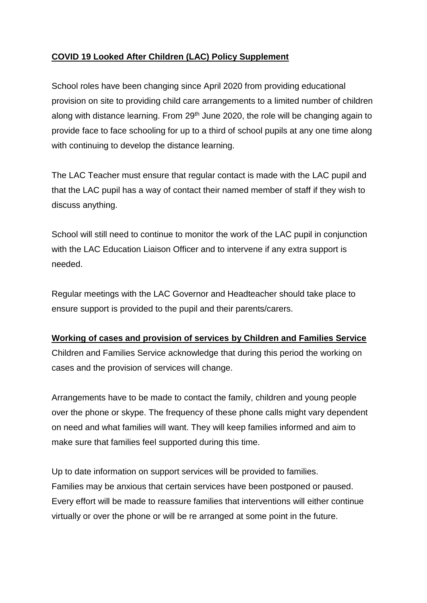## **COVID 19 Looked After Children (LAC) Policy Supplement**

School roles have been changing since April 2020 from providing educational provision on site to providing child care arrangements to a limited number of children along with distance learning. From  $29<sup>th</sup>$  June 2020, the role will be changing again to provide face to face schooling for up to a third of school pupils at any one time along with continuing to develop the distance learning.

The LAC Teacher must ensure that regular contact is made with the LAC pupil and that the LAC pupil has a way of contact their named member of staff if they wish to discuss anything.

School will still need to continue to monitor the work of the LAC pupil in conjunction with the LAC Education Liaison Officer and to intervene if any extra support is needed.

Regular meetings with the LAC Governor and Headteacher should take place to ensure support is provided to the pupil and their parents/carers.

## **Working of cases and provision of services by Children and Families Service**

Children and Families Service acknowledge that during this period the working on cases and the provision of services will change.

Arrangements have to be made to contact the family, children and young people over the phone or skype. The frequency of these phone calls might vary dependent on need and what families will want. They will keep families informed and aim to make sure that families feel supported during this time.

Up to date information on support services will be provided to families. Families may be anxious that certain services have been postponed or paused. Every effort will be made to reassure families that interventions will either continue virtually or over the phone or will be re arranged at some point in the future.